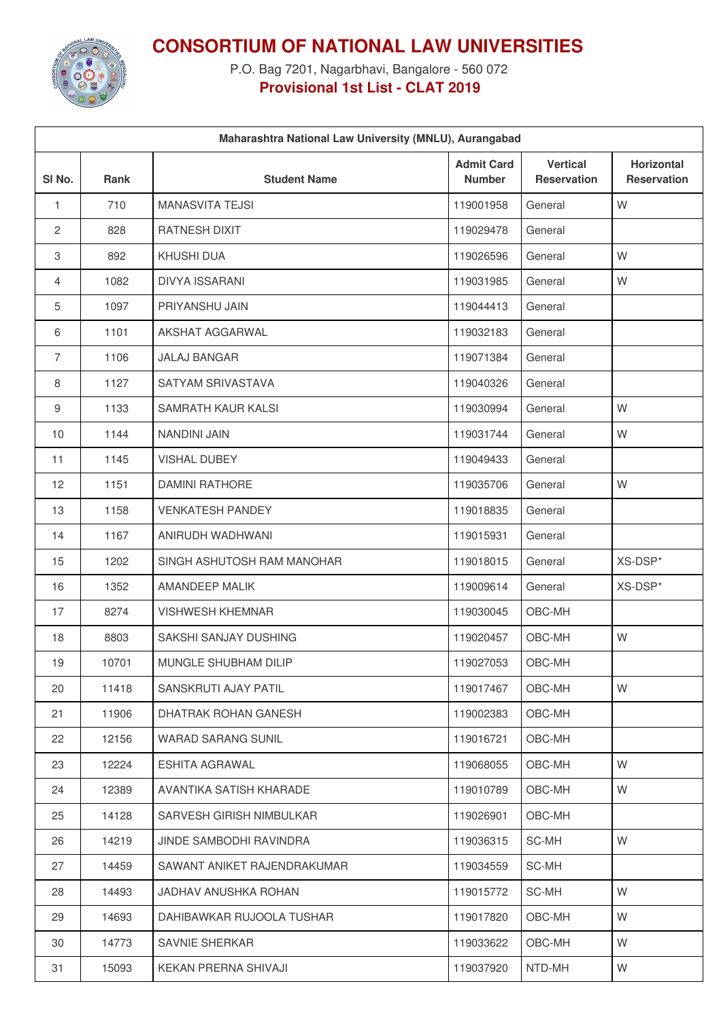

**CONSORTIUM OF NATIONAL LAW UNIVERSITIES**

P.O. Bag 7201, Nagarbhavi, Bangalore - 560 072 **Provisional 1st List - CLAT 2019**

| Maharashtra National Law University (MNLU), Aurangabad |       |                             |                                    |                                       |                                         |  |  |  |
|--------------------------------------------------------|-------|-----------------------------|------------------------------------|---------------------------------------|-----------------------------------------|--|--|--|
| SI <sub>No.</sub>                                      | Rank  | <b>Student Name</b>         | <b>Admit Card</b><br><b>Number</b> | <b>Vertical</b><br><b>Reservation</b> | <b>Horizontal</b><br><b>Reservation</b> |  |  |  |
| $\mathbf{1}$                                           | 710   | <b>MANASVITA TEJSI</b>      | 119001958                          | General                               | W                                       |  |  |  |
| 2                                                      | 828   | <b>RATNESH DIXIT</b>        | 119029478                          | General                               |                                         |  |  |  |
| 3                                                      | 892   | <b>KHUSHI DUA</b>           | 119026596                          | General                               | W                                       |  |  |  |
| 4                                                      | 1082  | <b>DIVYA ISSARANI</b>       | 119031985                          | General                               | W                                       |  |  |  |
| 5                                                      | 1097  | PRIYANSHU JAIN              | 119044413                          | General                               |                                         |  |  |  |
| 6                                                      | 1101  | AKSHAT AGGARWAL             | 119032183                          | General                               |                                         |  |  |  |
| $\overline{7}$                                         | 1106  | <b>JALAJ BANGAR</b>         | 119071384                          | General                               |                                         |  |  |  |
| 8                                                      | 1127  | SATYAM SRIVASTAVA           | 119040326                          | General                               |                                         |  |  |  |
| 9                                                      | 1133  | SAMRATH KAUR KALSI          | 119030994                          | General                               | W                                       |  |  |  |
| 10                                                     | 1144  | NANDINI JAIN                | 119031744                          | General                               | W                                       |  |  |  |
| 11                                                     | 1145  | <b>VISHAL DUBEY</b>         | 119049433                          | General                               |                                         |  |  |  |
| 12                                                     | 1151  | <b>DAMINI RATHORE</b>       | 119035706                          | General                               | W                                       |  |  |  |
| 13                                                     | 1158  | <b>VENKATESH PANDEY</b>     | 119018835                          | General                               |                                         |  |  |  |
| 14                                                     | 1167  | ANIRUDH WADHWANI            | 119015931                          | General                               |                                         |  |  |  |
| 15                                                     | 1202  | SINGH ASHUTOSH RAM MANOHAR  | 119018015                          | General                               | XS-DSP*                                 |  |  |  |
| 16                                                     | 1352  | AMANDEEP MALIK              | 119009614                          | General                               | XS-DSP*                                 |  |  |  |
| 17                                                     | 8274  | <b>VISHWESH KHEMNAR</b>     | 119030045                          | OBC-MH                                |                                         |  |  |  |
| 18                                                     | 8803  | SAKSHI SANJAY DUSHING       | 119020457                          | OBC-MH                                | W                                       |  |  |  |
| 19                                                     | 10701 | MUNGLE SHUBHAM DILIP        | 119027053                          | OBC-MH                                |                                         |  |  |  |
| 20                                                     | 11418 | SANSKRUTI AJAY PATIL        | 119017467                          | OBC-MH                                | W                                       |  |  |  |
| 21                                                     | 11906 | DHATRAK ROHAN GANESH        | 119002383                          | OBC-MH                                |                                         |  |  |  |
| 22                                                     | 12156 | <b>WARAD SARANG SUNIL</b>   | 119016721                          | OBC-MH                                |                                         |  |  |  |
| 23                                                     | 12224 | <b>ESHITA AGRAWAL</b>       | 119068055                          | OBC-MH                                | W                                       |  |  |  |
| 24                                                     | 12389 | AVANTIKA SATISH KHARADE     | 119010789                          | OBC-MH                                | W                                       |  |  |  |
| 25                                                     | 14128 | SARVESH GIRISH NIMBULKAR    | 119026901                          | OBC-MH                                |                                         |  |  |  |
| 26                                                     | 14219 | JINDE SAMBODHI RAVINDRA     | 119036315                          | SC-MH                                 | W                                       |  |  |  |
| 27                                                     | 14459 | SAWANT ANIKET RAJENDRAKUMAR | 119034559                          | SC-MH                                 |                                         |  |  |  |
| 28                                                     | 14493 | JADHAV ANUSHKA ROHAN        | 119015772                          | SC-MH                                 | W                                       |  |  |  |
| 29                                                     | 14693 | DAHIBAWKAR RUJOOLA TUSHAR   | 119017820                          | OBC-MH                                | W                                       |  |  |  |
| 30                                                     | 14773 | SAVNIE SHERKAR              | 119033622                          | OBC-MH                                | W                                       |  |  |  |
| 31                                                     | 15093 | KEKAN PRERNA SHIVAJI        | 119037920                          | NTD-MH                                | W                                       |  |  |  |